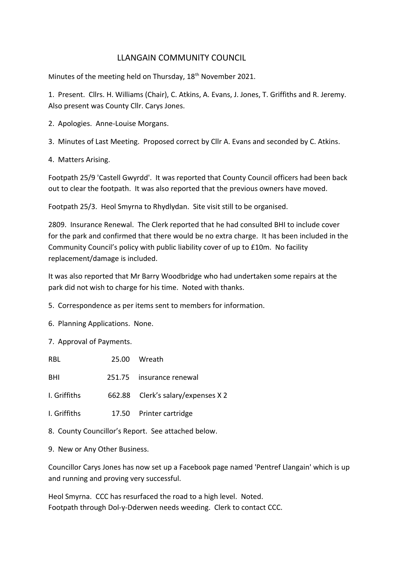# LLANGAIN COMMUNITY COUNCIL

Minutes of the meeting held on Thursday, 18<sup>th</sup> November 2021.

1. Present. Cllrs. H. Williams (Chair), C. Atkins, A. Evans, J. Jones, T. Griffiths and R. Jeremy. Also present was County Cllr. Carys Jones.

2. Apologies. Anne-Louise Morgans.

3. Minutes of Last Meeting. Proposed correct by Cllr A. Evans and seconded by C. Atkins.

4. Matters Arising.

Footpath 25/9 'Castell Gwyrdd'. It was reported that County Council officers had been back out to clear the footpath. It was also reported that the previous owners have moved.

Footpath 25/3. Heol Smyrna to Rhydlydan. Site visit still to be organised.

2809. Insurance Renewal. The Clerk reported that he had consulted BHI to include cover for the park and confirmed that there would be no extra charge. It has been included in the Community Council's policy with public liability cover of up to £10m. No facility replacement/damage is included.

It was also reported that Mr Barry Woodbridge who had undertaken some repairs at the park did not wish to charge for his time. Noted with thanks.

5. Correspondence as per items sent to members for information.

6. Planning Applications. None.

7. Approval of Payments.

| RBL                                                      |  | 25.00 Wreath                       |
|----------------------------------------------------------|--|------------------------------------|
| BHI                                                      |  | 251.75 insurance renewal           |
| I. Griffiths                                             |  | 662.88 Clerk's salary/expenses X 2 |
| I. Griffiths                                             |  | 17.50 Printer cartridge            |
| 0. Carrotti: Carro allanda Damant - Can attached halarri |  |                                    |

8. County Councillor's Report. See attached below.

9. New or Any Other Business.

Councillor Carys Jones has now set up a Facebook page named 'Pentref Llangain' which is up and running and proving very successful.

Heol Smyrna. CCC has resurfaced the road to a high level. Noted. Footpath through Dol-y-Dderwen needs weeding. Clerk to contact CCC.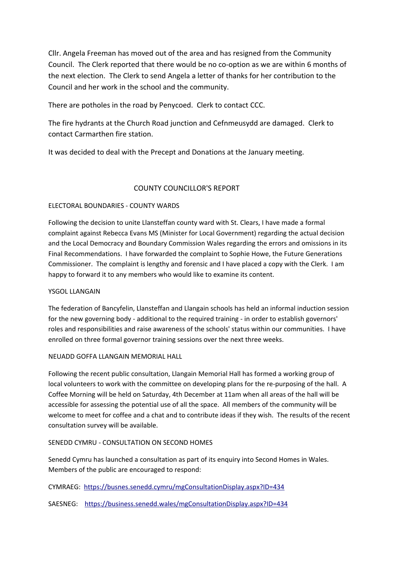Cllr. Angela Freeman has moved out of the area and has resigned from the Community Council. The Clerk reported that there would be no co-option as we are within 6 months of the next election. The Clerk to send Angela a letter of thanks for her contribution to the Council and her work in the school and the community.

There are potholes in the road by Penycoed. Clerk to contact CCC.

The fire hydrants at the Church Road junction and Cefnmeusydd are damaged. Clerk to contact Carmarthen fire station.

It was decided to deal with the Precept and Donations at the January meeting.

## COUNTY COUNCILLOR'S REPORT

### ELECTORAL BOUNDARIES - COUNTY WARDS

Following the decision to unite Llansteffan county ward with St. Clears, I have made a formal complaint against Rebecca Evans MS (Minister for Local Government) regarding the actual decision and the Local Democracy and Boundary Commission Wales regarding the errors and omissions in its Final Recommendations. I have forwarded the complaint to Sophie Howe, the Future Generations Commissioner. The complaint is lengthy and forensic and I have placed a copy with the Clerk. I am happy to forward it to any members who would like to examine its content.

### YSGOL LLANGAIN

The federation of Bancyfelin, Llansteffan and Llangain schools has held an informal induction session for the new governing body - additional to the required training - in order to establish governors' roles and responsibilities and raise awareness of the schools' status within our communities. I have enrolled on three formal governor training sessions over the next three weeks.

### NEUADD GOFFA LLANGAIN MEMORIAL HALL

Following the recent public consultation, Llangain Memorial Hall has formed a working group of local volunteers to work with the committee on developing plans for the re-purposing of the hall. A Coffee Morning will be held on Saturday, 4th December at 11am when all areas of the hall will be accessible for assessing the potential use of all the space. All members of the community will be welcome to meet for coffee and a chat and to contribute ideas if they wish. The results of the recent consultation survey will be available.

### SENEDD CYMRU - CONSULTATION ON SECOND HOMES

Senedd Cymru has launched a consultation as part of its enquiry into Second Homes in Wales. Members of the public are encouraged to respond:

CYMRAEG: <https://busnes.senedd.cymru/mgConsultationDisplay.aspx?ID=434>

SAESNEG: <https://business.senedd.wales/mgConsultationDisplay.aspx?ID=434>